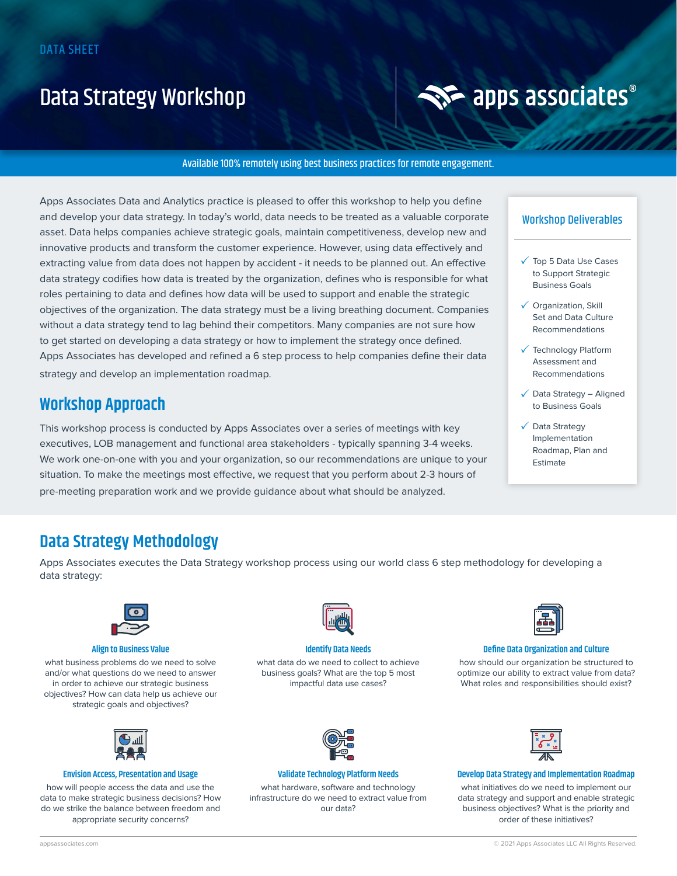## Data Strategy Workshop



#### Available 100% remotely using best business practices for remote engagement.

Apps Associates Data and Analytics practice is pleased to offer this workshop to help you define and develop your data strategy. In today's world, data needs to be treated as a valuable corporate asset. Data helps companies achieve strategic goals, maintain competitiveness, develop new and innovative products and transform the customer experience. However, using data effectively and extracting value from data does not happen by accident - it needs to be planned out. An effective data strategy codifies how data is treated by the organization, defines who is responsible for what roles pertaining to data and defines how data will be used to support and enable the strategic objectives of the organization. The data strategy must be a living breathing document. Companies without a data strategy tend to lag behind their competitors. Many companies are not sure how to get started on developing a data strategy or how to implement the strategy once defined. Apps Associates has developed and refined a 6 step process to help companies define their data strategy and develop an implementation roadmap.

### **Workshop Approach**

This workshop process is conducted by Apps Associates over a series of meetings with key executives, LOB management and functional area stakeholders - typically spanning 3-4 weeks. We work one-on-one with you and your organization, so our recommendations are unique to your situation. To make the meetings most effective, we request that you perform about 2-3 hours of pre-meeting preparation work and we provide guidance about what should be analyzed.

#### Workshop Deliverables

- Top 5 Data Use Cases to Support Strategic Business Goals
- **√** Organization, Skill Set and Data Culture Recommendations
- Technology Platform Assessment and Recommendations
- $\sqrt{\phantom{a}}$  Data Strategy Aligned to Business Goals
- Data Strategy Implementation Roadmap, Plan and Estimate

## **Data Strategy Methodology**

Apps Associates executes the Data Strategy workshop process using our world class 6 step methodology for developing a data strategy:



#### **Align to Business Value**

what business problems do we need to solve and/or what questions do we need to answer in order to achieve our strategic business objectives? How can data help us achieve our strategic goals and objectives?



#### **Envision Access, Presentation and Usage**

how will people access the data and use the data to make strategic business decisions? How do we strike the balance between freedom and appropriate security concerns?



#### **Identify Data Needs**

what data do we need to collect to achieve business goals? What are the top 5 most impactful data use cases?



#### **Validate Technology Platform Needs**

what hardware, software and technology infrastructure do we need to extract value from our data?



#### **Define Data Organization and Culture**

how should our organization be structured to optimize our ability to extract value from data? What roles and responsibilities should exist?



#### **Develop Data Strategy and Implementation Roadmap**

what initiatives do we need to implement our data strategy and support and enable strategic business objectives? What is the priority and order of these initiatives?